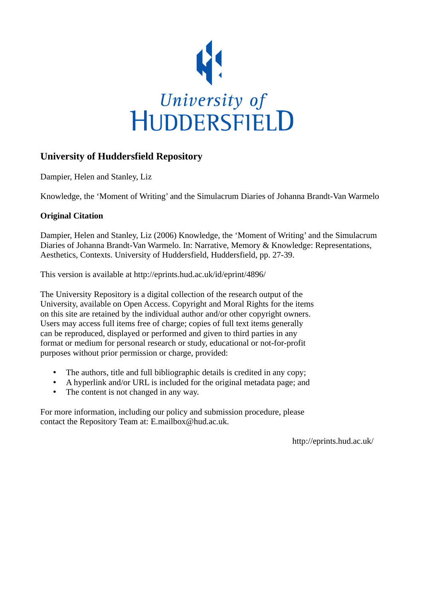

## **University of Huddersfield Repository**

Dampier, Helen and Stanley, Liz

Knowledge, the 'Moment of Writing' and the Simulacrum Diaries of Johanna Brandt-Van Warmelo

### **Original Citation**

Dampier, Helen and Stanley, Liz (2006) Knowledge, the 'Moment of Writing' and the Simulacrum Diaries of Johanna Brandt-Van Warmelo. In: Narrative, Memory & Knowledge: Representations, Aesthetics, Contexts. University of Huddersfield, Huddersfield, pp. 27-39.

This version is available at http://eprints.hud.ac.uk/id/eprint/4896/

The University Repository is a digital collection of the research output of the University, available on Open Access. Copyright and Moral Rights for the items on this site are retained by the individual author and/or other copyright owners. Users may access full items free of charge; copies of full text items generally can be reproduced, displayed or performed and given to third parties in any format or medium for personal research or study, educational or not-for-profit purposes without prior permission or charge, provided:

- The authors, title and full bibliographic details is credited in any copy;
- A hyperlink and/or URL is included for the original metadata page; and
- The content is not changed in any way.

For more information, including our policy and submission procedure, please contact the Repository Team at: E.mailbox@hud.ac.uk.

http://eprints.hud.ac.uk/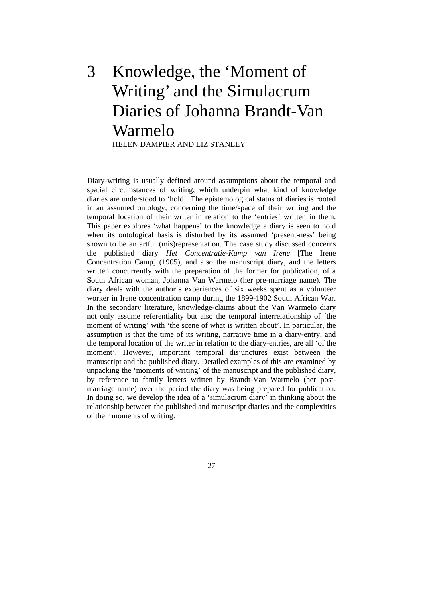# 3 Knowledge, the 'Moment of Writing' and the Simulacrum Diaries of Johanna Brandt-Van Warmelo HELEN DAMPIER AND LIZ STANLEY

Diary-writing is usually defined around assumptions about the temporal and spatial circumstances of writing, which underpin what kind of knowledge diaries are understood to 'hold'. The epistemological status of diaries is rooted in an assumed ontology, concerning the time/space of their writing and the temporal location of their writer in relation to the 'entries' written in them. This paper explores 'what happens' to the knowledge a diary is seen to hold when its ontological basis is disturbed by its assumed 'present-ness' being shown to be an artful (mis)representation. The case study discussed concerns the published diary *Het Concentratie-Kamp van Irene* [The Irene Concentration Camp] (1905), and also the manuscript diary, and the letters written concurrently with the preparation of the former for publication, of a South African woman, Johanna Van Warmelo (her pre-marriage name). The diary deals with the author's experiences of six weeks spent as a volunteer worker in Irene concentration camp during the 1899-1902 South African War. In the secondary literature, knowledge-claims about the Van Warmelo diary not only assume referentiality but also the temporal interrelationship of 'the moment of writing' with 'the scene of what is written about'. In particular, the assumption is that the time of its writing, narrative time in a diary-entry, and the temporal location of the writer in relation to the diary-entries, are all 'of the moment'. However, important temporal disjunctures exist between the manuscript and the published diary. Detailed examples of this are examined by unpacking the 'moments of writing' of the manuscript and the published diary, by reference to family letters written by Brandt-Van Warmelo (her postmarriage name) over the period the diary was being prepared for publication. In doing so, we develop the idea of a 'simulacrum diary' in thinking about the relationship between the published and manuscript diaries and the complexities of their moments of writing.

27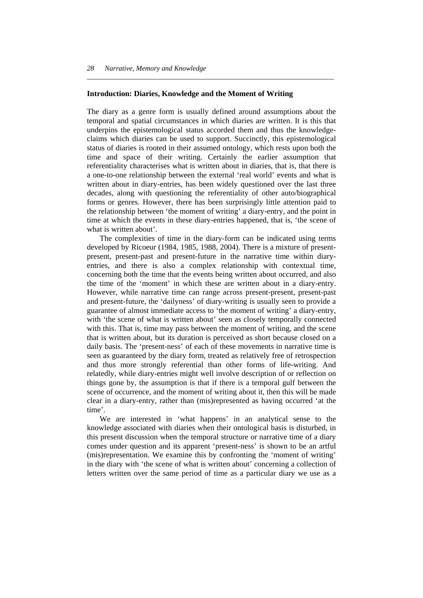#### **Introduction: Diaries, Knowledge and the Moment of Writing**

The diary as a genre form is usually defined around assumptions about the temporal and spatial circumstances in which diaries are written. It is this that underpins the epistemological status accorded them and thus the knowledgeclaims which diaries can be used to support. Succinctly, this epistemological status of diaries is rooted in their assumed ontology, which rests upon both the time and space of their writing. Certainly the earlier assumption that referentiality characterises what is written about in diaries, that is, that there is a one-to-one relationship between the external 'real world' events and what is written about in diary-entries, has been widely questioned over the last three decades, along with questioning the referentiality of other auto/biographical forms or genres. However, there has been surprisingly little attention paid to the relationship between 'the moment of writing' a diary-entry, and the point in time at which the events in these diary-entries happened, that is, 'the scene of what is written about'.

*\_\_\_\_\_\_\_\_\_\_\_\_\_\_\_\_\_\_\_\_\_\_\_\_\_\_\_\_\_\_\_\_\_\_\_\_\_\_\_\_\_\_\_\_\_\_\_\_\_\_\_\_\_\_\_\_\_\_\_\_\_\_\_\_\_\_\_\_\_* 

 The complexities of time in the diary-form can be indicated using terms developed by Ricoeur (1984, 1985, 1988, 2004). There is a mixture of presentpresent, present-past and present-future in the narrative time within diaryentries, and there is also a complex relationship with contextual time, concerning both the time that the events being written about occurred, and also the time of the 'moment' in which these are written about in a diary-entry. However, while narrative time can range across present-present, present-past and present-future, the 'dailyness' of diary-writing is usually seen to provide a guarantee of almost immediate access to 'the moment of writing' a diary-entry, with 'the scene of what is written about' seen as closely temporally connected with this. That is, time may pass between the moment of writing, and the scene that is written about, but its duration is perceived as short because closed on a daily basis. The 'present-ness' of each of these movements in narrative time is seen as guaranteed by the diary form, treated as relatively free of retrospection and thus more strongly referential than other forms of life-writing. And relatedly, while diary-entries might well involve description of or reflection on things gone by, the assumption is that if there is a temporal gulf between the scene of occurrence, and the moment of writing about it, then this will be made clear in a diary-entry, rather than (mis)represented as having occurred 'at the time'.

 We are interested in 'what happens' in an analytical sense to the knowledge associated with diaries when their ontological basis is disturbed, in this present discussion when the temporal structure or narrative time of a diary comes under question and its apparent 'present-ness' is shown to be an artful (mis)representation. We examine this by confronting the 'moment of writing' in the diary with 'the scene of what is written about' concerning a collection of letters written over the same period of time as a particular diary we use as a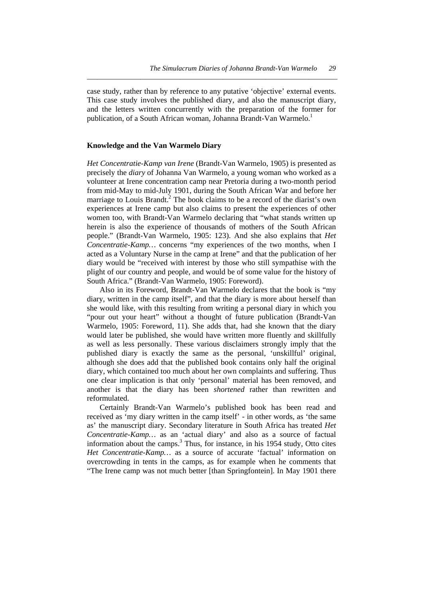case study, rather than by reference to any putative 'objective' external events. This case study involves the published diary, and also the manuscript diary, and the letters written concurrently with the preparation of the former for publication, of a South African woman, Johanna Brandt-Van Warmelo.<sup>1</sup>

*\_\_\_\_\_\_\_\_\_\_\_\_\_\_\_\_\_\_\_\_\_\_\_\_\_\_\_\_\_\_\_\_\_\_\_\_\_\_\_\_\_\_\_\_\_\_\_\_\_\_\_\_\_\_\_\_\_\_\_\_\_\_\_\_\_\_\_\_\_\_* 

#### **Knowledge and the Van Warmelo Diary**

*Het Concentratie-Kamp van Irene* (Brandt-Van Warmelo, 1905) is presented as precisely the *diary* of Johanna Van Warmelo, a young woman who worked as a volunteer at Irene concentration camp near Pretoria during a two-month period from mid-May to mid-July 1901, during the South African War and before her marriage to Louis Brandt.<sup>2</sup> The book claims to be a record of the diarist's own experiences at Irene camp but also claims to present the experiences of other women too, with Brandt-Van Warmelo declaring that "what stands written up herein is also the experience of thousands of mothers of the South African people." (Brandt-Van Warmelo, 1905: 123). And she also explains that *Het Concentratie-Kamp…* concerns "my experiences of the two months, when I acted as a Voluntary Nurse in the camp at Irene" and that the publication of her diary would be "received with interest by those who still sympathise with the plight of our country and people, and would be of some value for the history of South Africa." (Brandt-Van Warmelo, 1905: Foreword).

 Also in its Foreword, Brandt-Van Warmelo declares that the book is "my diary, written in the camp itself", and that the diary is more about herself than she would like, with this resulting from writing a personal diary in which you "pour out your heart" without a thought of future publication (Brandt-Van Warmelo, 1905: Foreword, 11). She adds that, had she known that the diary would later be published, she would have written more fluently and skillfully as well as less personally. These various disclaimers strongly imply that the published diary is exactly the same as the personal, 'unskillful' original, although she does add that the published book contains only half the original diary, which contained too much about her own complaints and suffering. Thus one clear implication is that only 'personal' material has been removed, and another is that the diary has been *shortened* rather than rewritten and reformulated.

 Certainly Brandt-Van Warmelo's published book has been read and received as 'my diary written in the camp itself' - in other words, as 'the same as' the manuscript diary. Secondary literature in South Africa has treated *Het Concentratie-Kamp…* as an 'actual diary' and also as a source of factual information about the camps.<sup>3</sup> Thus, for instance, in his 1954 study, Otto cites *Het Concentratie-Kamp…* as a source of accurate 'factual' information on overcrowding in tents in the camps, as for example when he comments that "The Irene camp was not much better [than Springfontein]. In May 1901 there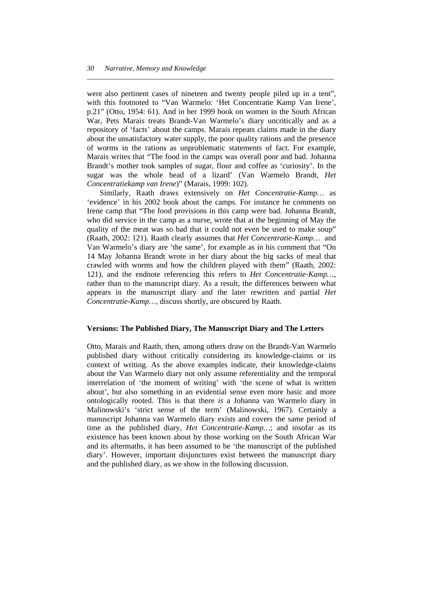were also pertinent cases of nineteen and twenty people piled up in a tent", with this footnoted to "Van Warmelo: 'Het Concentratie Kamp Van Irene', p.21" (Otto, 1954: 61). And in her 1999 book on women in the South African War, Pets Marais treats Brandt-Van Warmelo's diary uncritically and as a repository of 'facts' about the camps. Marais repeats claims made in the diary about the unsatisfactory water supply, the poor quality rations and the presence of worms in the rations as unproblematic statements of fact. For example, Marais writes that "The food in the camps was overall poor and bad. Johanna Brandt's mother took samples of sugar, flour and coffee as 'curiosity'. In the sugar was the whole head of a lizard' (Van Warmelo Brandt, *Het Concentratiekamp van Irene*)" (Marais, 1999: 102).

*\_\_\_\_\_\_\_\_\_\_\_\_\_\_\_\_\_\_\_\_\_\_\_\_\_\_\_\_\_\_\_\_\_\_\_\_\_\_\_\_\_\_\_\_\_\_\_\_\_\_\_\_\_\_\_\_\_\_\_\_\_\_\_\_\_\_\_\_\_* 

 Similarly, Raath draws extensively on *Het Concentratie-Kamp…* as 'evidence' in his 2002 book about the camps. For instance he comments on Irene camp that "The food provisions in this camp were bad. Johanna Brandt, who did service in the camp as a nurse, wrote that at the beginning of May the quality of the meat was so bad that it could not even be used to make soup" (Raath, 2002: 121). Raath clearly assumes that *Het Concentratie-Kamp…* and Van Warmelo's diary are 'the same', for example as in his comment that "On 14 May Johanna Brandt wrote in her diary about the big sacks of meal that crawled with worms and how the children played with them" (Raath, 2002: 121), and the endnote referencing this refers to *Het Concentratie-Kamp…*, rather than to the manuscript diary. As a result, the differences between what appears in the manuscript diary and the later rewritten and partial *Het Concentratie-Kamp…,* discuss shortly, are obscured by Raath.

#### **Versions: The Published Diary, The Manuscript Diary and The Letters**

Otto, Marais and Raath, then, among others draw on the Brandt-Van Warmelo published diary without critically considering its knowledge-claims or its context of writing. As the above examples indicate, their knowledge-claims about the Van Warmelo diary not only assume referentiality and the temporal interrelation of 'the moment of writing' with 'the scene of what is written about', but also something in an evidential sense even more basic and more ontologically rooted. This is that there *is* a Johanna van Warmelo diary in Malinowski's 'strict sense of the term' (Malinowski, 1967). Certainly a manuscript Johanna van Warmelo diary exists and covers the same period of time as the published diary, *Het Concentratie-Kamp…*; and insofar as its existence has been known about by those working on the South African War and its aftermaths, it has been assumed to be 'the manuscript of the published diary'. However, important disjunctures exist between the manuscript diary and the published diary, as we show in the following discussion.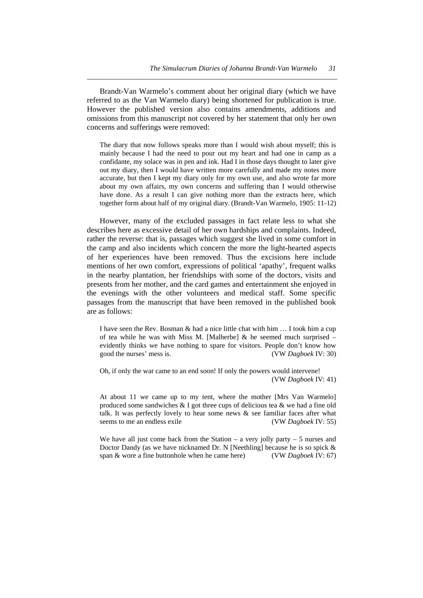Brandt-Van Warmelo's comment about her original diary (which we have referred to as the Van Warmelo diary) being shortened for publication is true. However the published version also contains amendments, additions and omissions from this manuscript not covered by her statement that only her own concerns and sufferings were removed:

*\_\_\_\_\_\_\_\_\_\_\_\_\_\_\_\_\_\_\_\_\_\_\_\_\_\_\_\_\_\_\_\_\_\_\_\_\_\_\_\_\_\_\_\_\_\_\_\_\_\_\_\_\_\_\_\_\_\_\_\_\_\_\_\_\_\_\_\_\_\_* 

The diary that now follows speaks more than I would wish about myself; this is mainly because I had the need to pour out my heart and had one in camp as a confidante, my solace was in pen and ink. Had I in those days thought to later give out my diary, then I would have written more carefully and made my notes more accurate, but then I kept my diary only for my own use, and also wrote far more about my own affairs, my own concerns and suffering than I would otherwise have done. As a result I can give nothing more than the extracts here, which together form about half of my original diary. (Brandt-Van Warmelo, 1905: 11-12)

 However, many of the excluded passages in fact relate less to what she describes here as excessive detail of her own hardships and complaints. Indeed, rather the reverse: that is, passages which suggest she lived in some comfort in the camp and also incidents which concern the more the light-hearted aspects of her experiences have been removed. Thus the excisions here include mentions of her own comfort, expressions of political 'apathy', frequent walks in the nearby plantation, her friendships with some of the doctors, visits and presents from her mother, and the card games and entertainment she enjoyed in the evenings with the other volunteers and medical staff. Some specific passages from the manuscript that have been removed in the published book are as follows:

I have seen the Rev. Bosman & had a nice little chat with him … I took him a cup of tea while he was with Miss M. [Malherbe]  $\&$  he seemed much surprised – evidently thinks we have nothing to spare for visitors. People don't know how good the nurses' mess is. (VW *Dagboek* IV: 30)

Oh, if only the war came to an end soon! If only the powers would intervene! (VW *Dagboek* IV: 41)

At about 11 we came up to my tent, where the mother [Mrs Van Warmelo] produced some sandwiches & I got three cups of delicious tea & we had a fine old talk. It was perfectly lovely to hear some news  $\&$  see familiar faces after what seems to me an endless exile (VW *Dagboek* IV: 55)

We have all just come back from the Station – a very jolly party – 5 nurses and Doctor Dandy (as we have nicknamed Dr. N [Neethling] because he is so spick & span & wore a fine buttonhole when he came here) (VW *Dagboek* IV: 67)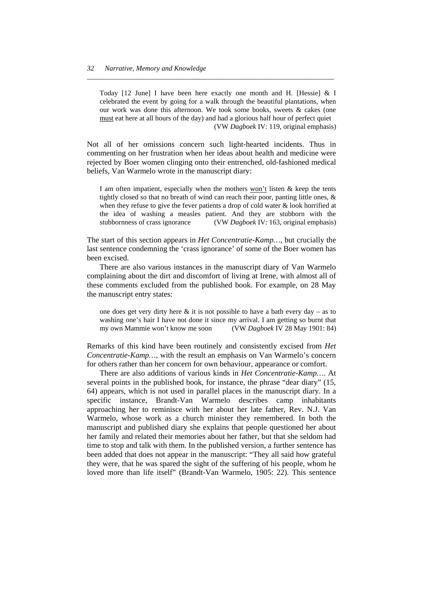Today [12 June] I have been here exactly one month and H. [Hessie] & I celebrated the event by going for a walk through the beautiful plantations, when our work was done this afternoon. We took some books, sweets & cakes (one must eat here at all hours of the day) and had a glorious half hour of perfect quiet (VW *Dagboek* IV: 119, original emphasis)

*\_\_\_\_\_\_\_\_\_\_\_\_\_\_\_\_\_\_\_\_\_\_\_\_\_\_\_\_\_\_\_\_\_\_\_\_\_\_\_\_\_\_\_\_\_\_\_\_\_\_\_\_\_\_\_\_\_\_\_\_\_\_\_\_\_\_\_\_\_* 

Not all of her omissions concern such light-hearted incidents. Thus in commenting on her frustration when her ideas about health and medicine were rejected by Boer women clinging onto their entrenched, old-fashioned medical beliefs, Van Warmelo wrote in the manuscript diary:

I am often impatient, especially when the mothers  $\underline{von't}$  listen & keep the tents tightly closed so that no breath of wind can reach their poor, panting little ones, & when they refuse to give the fever patients a drop of cold water & look horrified at the idea of washing a measles patient. And they are stubborn with the stubbornness of crass ignorance (VW *Dagboek* IV: 163, original emphasis)

The start of this section appears in *Het Concentratie-Kamp…*, but crucially the last sentence condemning the 'crass ignorance' of some of the Boer women has been excised.

 There are also various instances in the manuscript diary of Van Warmelo complaining about the dirt and discomfort of living at Irene, with almost all of these comments excluded from the published book. For example, on 28 May the manuscript entry states:

one does get very dirty here  $\&$  it is not possible to have a bath every day – as to washing one's hair I have not done it since my arrival. I am getting so burnt that my own Mammie won't know me soon (VW *Dagboek* IV 28 May 1901: 84)

Remarks of this kind have been routinely and consistently excised from *Het Concentratie-Kamp…*, with the result an emphasis on Van Warmelo's concern for others rather than her concern for own behaviour, appearance or comfort.

 There are also additions of various kinds in *Het Concentratie-Kamp…*. At several points in the published book, for instance, the phrase "dear diary" (15, 64) appears, which is not used in parallel places in the manuscript diary. In a specific instance, Brandt-Van Warmelo describes camp inhabitants approaching her to reminisce with her about her late father, Rev. N.J. Van Warmelo, whose work as a church minister they remembered. In both the manuscript and published diary she explains that people questioned her about her family and related their memories about her father, but that she seldom had time to stop and talk with them. In the published version, a further sentence has been added that does not appear in the manuscript: "They all said how grateful they were, that he was spared the sight of the suffering of his people, whom he loved more than life itself" (Brandt-Van Warmelo, 1905: 22). This sentence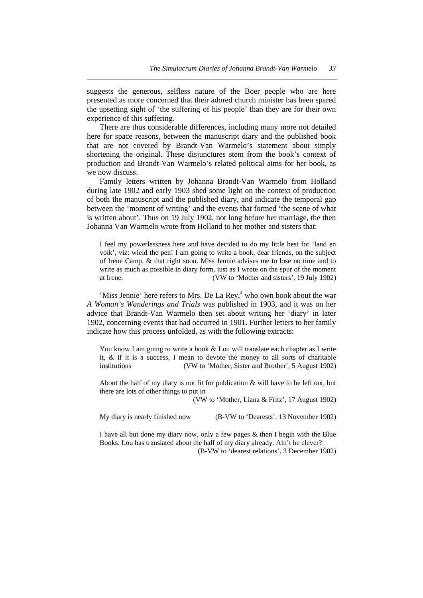suggests the generous, selfless nature of the Boer people who are here presented as more concerned that their adored church minister has been spared the upsetting sight of 'the suffering of his people' than they are for their own experience of this suffering.

*\_\_\_\_\_\_\_\_\_\_\_\_\_\_\_\_\_\_\_\_\_\_\_\_\_\_\_\_\_\_\_\_\_\_\_\_\_\_\_\_\_\_\_\_\_\_\_\_\_\_\_\_\_\_\_\_\_\_\_\_\_\_\_\_\_\_\_\_\_\_* 

 There are thus considerable differences, including many more not detailed here for space reasons, between the manuscript diary and the published book that are not covered by Brandt-Van Warmelo's statement about simply shortening the original. These disjunctures stem from the book's context of production and Brandt-Van Warmelo's related political aims for her book, as we now discuss.

 Family letters written by Johanna Brandt-Van Warmelo from Holland during late 1902 and early 1903 shed some light on the context of production of both the manuscript and the published diary, and indicate the temporal gap between the 'moment of writing' and the events that formed 'the scene of what is written about'. Thus on 19 July 1902, not long before her marriage, the then Johanna Van Warmelo wrote from Holland to her mother and sisters that:

I feel my powerlessness here and have decided to do my little best for 'land en volk', viz: wield the pen! I am going to write a book, dear friends, on the subject of Irene Camp, & that right soon. Miss Jennie advises me to lose no time and to write as much as possible in diary form, just as I wrote on the spur of the moment at Irene. (VW to 'Mother and sisters', 19 July 1902)

'Miss Jennie' here refers to Mrs. De La Rey, $<sup>4</sup>$  who own book about the war</sup> *A Woman's Wanderings and Trials* was published in 1903, and it was on her advice that Brandt-Van Warmelo then set about writing her 'diary' in later 1902, concerning events that had occurred in 1901. Further letters to her family indicate how this process unfolded, as with the following extracts:

You know I am going to write a book & Lou will translate each chapter as I write it, & if it is a success, I mean to devote the money to all sorts of charitable institutions (VW to 'Mother, Sister and Brother', 5 August 1902)

About the half of my diary is not fit for publication & will have to be left out, but there are lots of other things to put in

(VW to 'Mother, Liana & Fritz', 17 August 1902)

My diary is nearly finished now (B-VW to 'Dearests', 13 November 1902)

I have all but done my diary now, only a few pages & then I begin with the Blue Books. Lou has translated about the half of my diary already. Ain't he clever? (B-VW to 'dearest relations', 3 December 1902)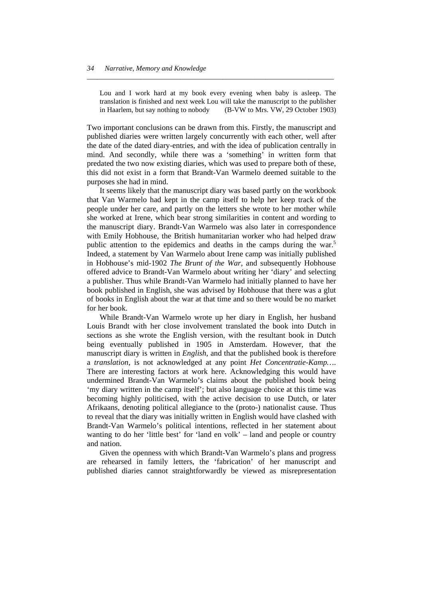Lou and I work hard at my book every evening when baby is asleep. The translation is finished and next week Lou will take the manuscript to the publisher in Haarlem, but say nothing to nobody (B-VW to Mrs. VW, 29 October 1903)

*\_\_\_\_\_\_\_\_\_\_\_\_\_\_\_\_\_\_\_\_\_\_\_\_\_\_\_\_\_\_\_\_\_\_\_\_\_\_\_\_\_\_\_\_\_\_\_\_\_\_\_\_\_\_\_\_\_\_\_\_\_\_\_\_\_\_\_\_\_* 

Two important conclusions can be drawn from this. Firstly, the manuscript and published diaries were written largely concurrently with each other, well after the date of the dated diary-entries, and with the idea of publication centrally in mind. And secondly, while there was a 'something' in written form that predated the two now existing diaries, which was used to prepare both of these, this did not exist in a form that Brandt-Van Warmelo deemed suitable to the purposes she had in mind.

 It seems likely that the manuscript diary was based partly on the workbook that Van Warmelo had kept in the camp itself to help her keep track of the people under her care, and partly on the letters she wrote to her mother while she worked at Irene, which bear strong similarities in content and wording to the manuscript diary. Brandt-Van Warmelo was also later in correspondence with Emily Hobhouse, the British humanitarian worker who had helped draw public attention to the epidemics and deaths in the camps during the war. $\frac{5}{10}$ Indeed, a statement by Van Warmelo about Irene camp was initially published in Hobhouse's mid-1902 *The Brunt of the War*, and subsequently Hobhouse offered advice to Brandt-Van Warmelo about writing her 'diary' and selecting a publisher. Thus while Brandt-Van Warmelo had initially planned to have her book published in English, she was advised by Hobhouse that there was a glut of books in English about the war at that time and so there would be no market for her book.

 While Brandt-Van Warmelo wrote up her diary in English, her husband Louis Brandt with her close involvement translated the book into Dutch in sections as she wrote the English version, with the resultant book in Dutch being eventually published in 1905 in Amsterdam. However, that the manuscript diary is written in *English*, and that the published book is therefore a *translation*, is not acknowledged at any point *Het Concentratie-Kamp…*. There are interesting factors at work here. Acknowledging this would have undermined Brandt-Van Warmelo's claims about the published book being 'my diary written in the camp itself'; but also language choice at this time was becoming highly politicised, with the active decision to use Dutch, or later Afrikaans, denoting political allegiance to the (proto-) nationalist cause. Thus to reveal that the diary was initially written in English would have clashed with Brandt-Van Warmelo's political intentions, reflected in her statement about wanting to do her 'little best' for 'land en volk' – land and people or country and nation.

 Given the openness with which Brandt-Van Warmelo's plans and progress are rehearsed in family letters, the 'fabrication' of her manuscript and published diaries cannot straightforwardly be viewed as misrepresentation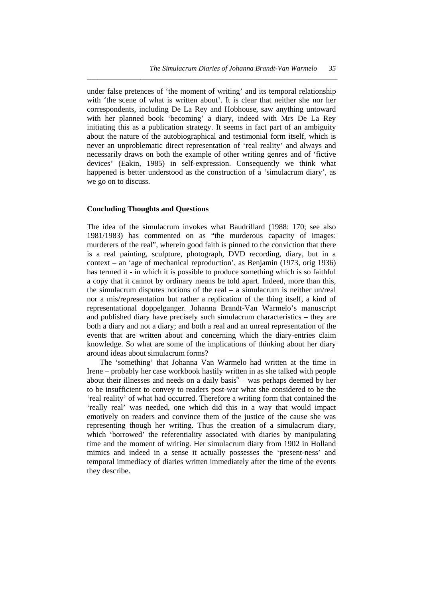under false pretences of 'the moment of writing' and its temporal relationship with 'the scene of what is written about'. It is clear that neither she nor her correspondents, including De La Rey and Hobhouse, saw anything untoward with her planned book 'becoming' a diary, indeed with Mrs De La Rey initiating this as a publication strategy. It seems in fact part of an ambiguity about the nature of the autobiographical and testimonial form itself, which is never an unproblematic direct representation of 'real reality' and always and necessarily draws on both the example of other writing genres and of 'fictive devices' (Eakin, 1985) in self-expression. Consequently we think what happened is better understood as the construction of a 'simulacrum diary', as we go on to discuss.

*\_\_\_\_\_\_\_\_\_\_\_\_\_\_\_\_\_\_\_\_\_\_\_\_\_\_\_\_\_\_\_\_\_\_\_\_\_\_\_\_\_\_\_\_\_\_\_\_\_\_\_\_\_\_\_\_\_\_\_\_\_\_\_\_\_\_\_\_\_\_* 

#### **Concluding Thoughts and Questions**

The idea of the simulacrum invokes what Baudrillard (1988: 170; see also 1981/1983) has commented on as "the murderous capacity of images: murderers of the real", wherein good faith is pinned to the conviction that there is a real painting, sculpture, photograph, DVD recording, diary, but in a context – an 'age of mechanical reproduction', as Benjamin (1973, orig 1936) has termed it - in which it is possible to produce something which is so faithful a copy that it cannot by ordinary means be told apart. Indeed, more than this, the simulacrum disputes notions of the real – a simulacrum is neither un/real nor a mis/representation but rather a replication of the thing itself, a kind of representational doppelganger. Johanna Brandt-Van Warmelo's manuscript and published diary have precisely such simulacrum characteristics – they are both a diary and not a diary; and both a real and an unreal representation of the events that are written about and concerning which the diary-entries claim knowledge. So what are some of the implications of thinking about her diary around ideas about simulacrum forms?

 The 'something' that Johanna Van Warmelo had written at the time in Irene – probably her case workbook hastily written in as she talked with people about their illnesses and needs on a daily basis<sup>6</sup> – was perhaps deemed by her to be insufficient to convey to readers post-war what she considered to be the 'real reality' of what had occurred. Therefore a writing form that contained the 'really real' was needed, one which did this in a way that would impact emotively on readers and convince them of the justice of the cause she was representing though her writing. Thus the creation of a simulacrum diary, which 'borrowed' the referentiality associated with diaries by manipulating time and the moment of writing. Her simulacrum diary from 1902 in Holland mimics and indeed in a sense it actually possesses the 'present-ness' and temporal immediacy of diaries written immediately after the time of the events they describe.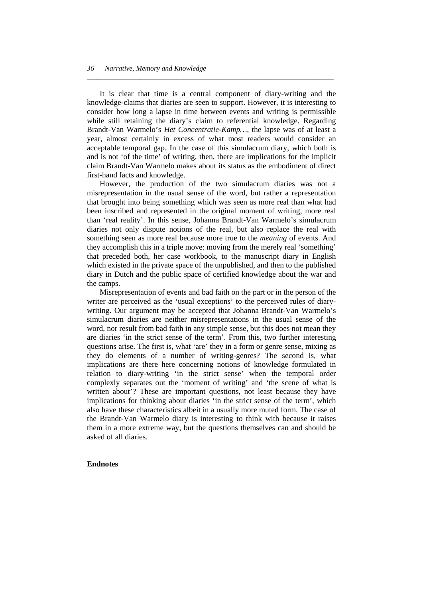It is clear that time is a central component of diary-writing and the knowledge-claims that diaries are seen to support. However, it is interesting to consider how long a lapse in time between events and writing is permissible while still retaining the diary's claim to referential knowledge. Regarding Brandt-Van Warmelo's *Het Concentratie-Kamp…*, the lapse was of at least a year, almost certainly in excess of what most readers would consider an acceptable temporal gap. In the case of this simulacrum diary, which both is and is not 'of the time' of writing, then, there are implications for the implicit claim Brandt-Van Warmelo makes about its status as the embodiment of direct first-hand facts and knowledge.

*\_\_\_\_\_\_\_\_\_\_\_\_\_\_\_\_\_\_\_\_\_\_\_\_\_\_\_\_\_\_\_\_\_\_\_\_\_\_\_\_\_\_\_\_\_\_\_\_\_\_\_\_\_\_\_\_\_\_\_\_\_\_\_\_\_\_\_\_\_* 

 However, the production of the two simulacrum diaries was not a misrepresentation in the usual sense of the word, but rather a representation that brought into being something which was seen as more real than what had been inscribed and represented in the original moment of writing, more real than 'real reality'. In this sense, Johanna Brandt-Van Warmelo's simulacrum diaries not only dispute notions of the real, but also replace the real with something seen as more real because more true to the *meaning* of events. And they accomplish this in a triple move: moving from the merely real 'something' that preceded both, her case workbook, to the manuscript diary in English which existed in the private space of the unpublished, and then to the published diary in Dutch and the public space of certified knowledge about the war and the camps.

 Misrepresentation of events and bad faith on the part or in the person of the writer are perceived as the 'usual exceptions' to the perceived rules of diarywriting. Our argument may be accepted that Johanna Brandt-Van Warmelo's simulacrum diaries are neither misrepresentations in the usual sense of the word, nor result from bad faith in any simple sense, but this does not mean they are diaries 'in the strict sense of the term'. From this, two further interesting questions arise. The first is, what 'are' they in a form or genre sense, mixing as they do elements of a number of writing-genres? The second is, what implications are there here concerning notions of knowledge formulated in relation to diary-writing 'in the strict sense' when the temporal order complexly separates out the 'moment of writing' and 'the scene of what is written about'? These are important questions, not least because they have implications for thinking about diaries 'in the strict sense of the term', which also have these characteristics albeit in a usually more muted form. The case of the Brandt-Van Warmelo diary is interesting to think with because it raises them in a more extreme way, but the questions themselves can and should be asked of all diaries.

#### **Endnotes**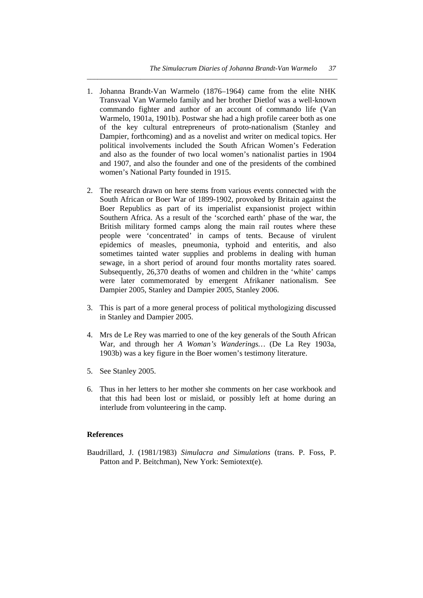1. Johanna Brandt-Van Warmelo (1876–1964) came from the elite NHK Transvaal Van Warmelo family and her brother Dietlof was a well-known commando fighter and author of an account of commando life (Van Warmelo, 1901a, 1901b). Postwar she had a high profile career both as one of the key cultural entrepreneurs of proto-nationalism (Stanley and Dampier, forthcoming) and as a novelist and writer on medical topics. Her political involvements included the South African Women's Federation and also as the founder of two local women's nationalist parties in 1904 and 1907, and also the founder and one of the presidents of the combined women's National Party founded in 1915.

*\_\_\_\_\_\_\_\_\_\_\_\_\_\_\_\_\_\_\_\_\_\_\_\_\_\_\_\_\_\_\_\_\_\_\_\_\_\_\_\_\_\_\_\_\_\_\_\_\_\_\_\_\_\_\_\_\_\_\_\_\_\_\_\_\_\_\_\_\_\_* 

- 2. The research drawn on here stems from various events connected with the South African or Boer War of 1899-1902, provoked by Britain against the Boer Republics as part of its imperialist expansionist project within Southern Africa. As a result of the 'scorched earth' phase of the war, the British military formed camps along the main rail routes where these people were 'concentrated' in camps of tents. Because of virulent epidemics of measles, pneumonia, typhoid and enteritis, and also sometimes tainted water supplies and problems in dealing with human sewage, in a short period of around four months mortality rates soared. Subsequently, 26,370 deaths of women and children in the 'white' camps were later commemorated by emergent Afrikaner nationalism. See Dampier 2005, Stanley and Dampier 2005, Stanley 2006.
- 3. This is part of a more general process of political mythologizing discussed in Stanley and Dampier 2005.
- 4. Mrs de Le Rey was married to one of the key generals of the South African War, and through her *A Woman's Wanderings…* (De La Rey 1903a, 1903b) was a key figure in the Boer women's testimony literature.
- 5. See Stanley 2005.
- 6. Thus in her letters to her mother she comments on her case workbook and that this had been lost or mislaid, or possibly left at home during an interlude from volunteering in the camp.

#### **References**

Baudrillard, J. (1981/1983) *Simulacra and Simulations* (trans. P. Foss, P. Patton and P. Beitchman), New York: Semiotext(e).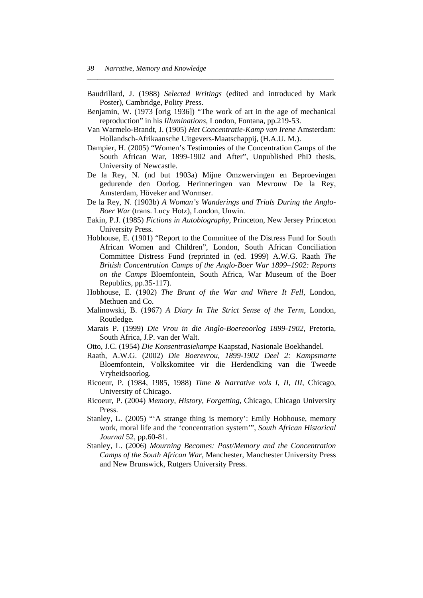Baudrillard, J. (1988) *Selected Writings* (edited and introduced by Mark Poster), Cambridge, Polity Press.

*\_\_\_\_\_\_\_\_\_\_\_\_\_\_\_\_\_\_\_\_\_\_\_\_\_\_\_\_\_\_\_\_\_\_\_\_\_\_\_\_\_\_\_\_\_\_\_\_\_\_\_\_\_\_\_\_\_\_\_\_\_\_\_\_\_\_\_\_\_* 

- Benjamin, W. (1973 [orig 1936]) "The work of art in the age of mechanical reproduction" in his *Illuminations*, London, Fontana, pp.219-53.
- Van Warmelo-Brandt, J. (1905) *Het Concentratie-Kamp van Irene* Amsterdam: Hollandsch-Afrikaansche Uitgevers-Maatschappij, (H.A.U. M.).
- Dampier, H. (2005) "Women's Testimonies of the Concentration Camps of the South African War, 1899-1902 and After", Unpublished PhD thesis, University of Newcastle.
- De la Rey, N. (nd but 1903a) Mijne Omzwervingen en Beproevingen gedurende den Oorlog. Herinneringen van Mevrouw De la Rey, Amsterdam, Höveker and Wormser.
- De la Rey, N. (1903b) *A Woman's Wanderings and Trials During the Anglo-Boer War* (trans. Lucy Hotz), London, Unwin.
- Eakin, P.J. (1985) *Fictions in Autobiography*, Princeton, New Jersey Princeton University Press.
- Hobhouse, E. (1901) "Report to the Committee of the Distress Fund for South African Women and Children", London, South African Conciliation Committee Distress Fund (reprinted in (ed. 1999) A.W.G. Raath *The British Concentration Camps of the Anglo-Boer War 1899–1902: Reports on the Camps* Bloemfontein, South Africa, War Museum of the Boer Republics, pp.35-117).
- Hobhouse, E. (1902) *The Brunt of the War and Where It Fell*, London, Methuen and Co.
- Malinowski, B. (1967) *A Diary In The Strict Sense of the Term*, London, Routledge.
- Marais P. (1999) *Die Vrou in die Anglo-Boereoorlog 1899-1902*, Pretoria, South Africa, J.P. van der Walt.
- Otto, J.C. (1954) *Die Konsentrasiekampe* Kaapstad, Nasionale Boekhandel.
- Raath, A.W.G. (2002) *Die Boerevrou, 1899-1902 Deel 2: Kampsmarte* Bloemfontein, Volkskomitee vir die Herdendking van die Tweede Vryheidsoorlog.
- Ricoeur, P. (1984, 1985, 1988) *Time & Narrative vols I, II, III*, Chicago, University of Chicago.
- Ricoeur, P. (2004) *Memory, History, Forgetting*, Chicago, Chicago University Press.
- Stanley, L. (2005) "'A strange thing is memory': Emily Hobhouse, memory work, moral life and the 'concentration system'", *South African Historical Journal* 52, pp.60-81.
- Stanley, L. (2006) *Mourning Becomes: Post/Memory and the Concentration Camps of the South African War*, Manchester, Manchester University Press and New Brunswick, Rutgers University Press.